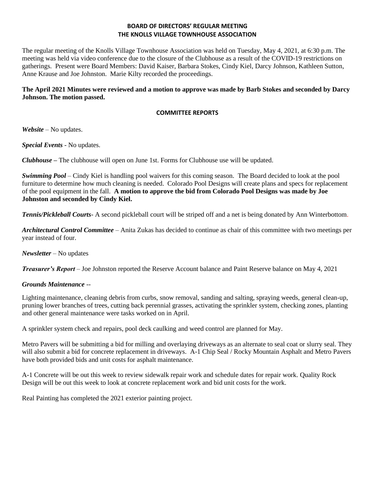## **BOARD OF DIRECTORS' REGULAR MEETING THE KNOLLS VILLAGE TOWNHOUSE ASSOCIATION**

The regular meeting of the Knolls Village Townhouse Association was held on Tuesday, May 4, 2021, at 6:30 p.m. The meeting was held via video conference due to the closure of the Clubhouse as a result of the COVID-19 restrictions on gatherings. Present were Board Members: David Kaiser, Barbara Stokes, Cindy Kiel, Darcy Johnson, Kathleen Sutton, Anne Krause and Joe Johnston. Marie Kilty recorded the proceedings.

# **The April 2021 Minutes were reviewed and a motion to approve was made by Barb Stokes and seconded by Darcy Johnson. The motion passed.**

## **COMMITTEE REPORTS**

*Website –* No updates.

*Special Events* - No updates.

*Clubhouse* **–** The clubhouse will open on June 1st. Forms for Clubhouse use will be updated.

*Swimming Pool* – Cindy Kiel is handling pool waivers for this coming season. The Board decided to look at the pool furniture to determine how much cleaning is needed. Colorado Pool Designs will create plans and specs for replacement of the pool equipment in the fall. **A motion to approve the bid from Colorado Pool Designs was made by Joe Johnston and seconded by Cindy Kiel.** 

*Tennis/Pickleball Courts*- A second pickleball court will be striped off and a net is being donated by Ann Winterbottom.

*Architectural Control Committee* – Anita Zukas has decided to continue as chair of this committee with two meetings per year instead of four.

*Newsletter* – No updates

*Treasurer's Report* – Joe Johnston reported the Reserve Account balance and Paint Reserve balance on May 4, 2021

### *Grounds Maintenance --*

Lighting maintenance, cleaning debris from curbs, snow removal, sanding and salting, spraying weeds, general clean-up, pruning lower branches of trees, cutting back perennial grasses, activating the sprinkler system, checking zones, planting and other general maintenance were tasks worked on in April.

A sprinkler system check and repairs, pool deck caulking and weed control are planned for May.

Metro Pavers will be submitting a bid for milling and overlaying driveways as an alternate to seal coat or slurry seal. They will also submit a bid for concrete replacement in driveways. A-1 Chip Seal / Rocky Mountain Asphalt and Metro Pavers have both provided bids and unit costs for asphalt maintenance.

A-1 Concrete will be out this week to review sidewalk repair work and schedule dates for repair work. Quality Rock Design will be out this week to look at concrete replacement work and bid unit costs for the work.

Real Painting has completed the 2021 exterior painting project.